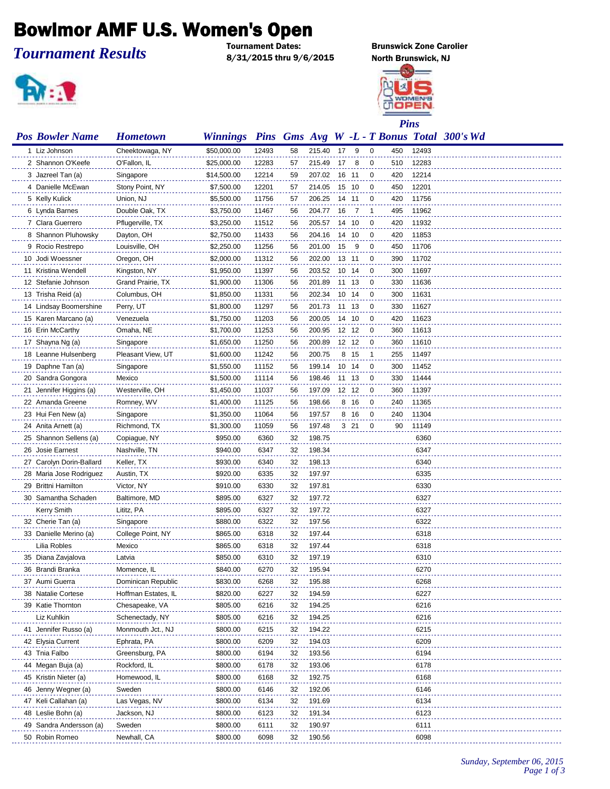## Bowlmor AMF U.S. Women's Open

## *Tournament Results*

8/31/2015 thru 9/6/2015 North Brunswick, NJ



**Brunswick Zone Carolier** 



| <b>Pos Bowler Name</b>                    | <b>Hometown</b>       | <b>Winnings</b>      |              |          |                  |    |       |   |     |              | <b>Pins</b> Gms Avg W -L - T Bonus Total 300's Wd |
|-------------------------------------------|-----------------------|----------------------|--------------|----------|------------------|----|-------|---|-----|--------------|---------------------------------------------------|
| 1 Liz Johnson                             | Cheektowaga, NY       | \$50,000.00          | 12493        | 58       | 215.40           | 17 | - 9   | 0 | 450 | 12493        |                                                   |
| 2 Shannon O'Keefe                         | O'Fallon, IL          | \$25,000.00          | 12283        | 57       | 215.49           | 17 | 8     | 0 | 510 | 12283        |                                                   |
| 3 Jazreel Tan (a)                         | Singapore             | \$14,500.00          | 12214        | 59       | 207.02           | 16 | -11   | 0 | 420 | 12214        |                                                   |
| 4 Danielle McEwan                         | Stony Point, NY       | \$7,500.00           | 12201        | 57       | 214.05           |    | 15 10 | 0 | 450 | 12201        |                                                   |
| 5 Kelly Kulick                            | Union, NJ             | \$5,500.00           | 11756        | 57       | 206.25           |    | 14 11 | 0 | 420 | 11756        |                                                   |
| 6 Lynda Barnes                            | Double Oak, TX        | \$3,750.00           | 11467        | 56       | 204.77           | 16 | -7    | 1 | 495 | 11962        |                                                   |
| 7 Clara Guerrero                          | Pflugerville, TX      | \$3,250.00           | 11512        | 56       | 205.57           |    | 14 10 | 0 | 420 | 11932        |                                                   |
| 8 Shannon Pluhowsky                       | Dayton, OH            | \$2,750.00           | 11433        | 56       | 204.16           |    | 14 10 | 0 | 420 | 11853        |                                                   |
| 9 Rocio Restrepo                          | Louisville, OH        | \$2,250.00           | 11256        | 56       | 201.00           | 15 | 9     | 0 | 450 | 11706        |                                                   |
| 10 Jodi Woessner                          | Oregon, OH            | \$2,000.00           | 11312        | 56       | 202.00           |    | 13 11 | 0 | 390 | 11702        |                                                   |
| 11 Kristina Wendell                       | Kingston, NY          | \$1,950.00           | 11397        | 56       | 203.52           |    | 10 14 | 0 | 300 | 11697        |                                                   |
| 12 Stefanie Johnson                       | Grand Prairie, TX     | \$1,900.00           | 11306        | 56       | 201.89           |    | 11 13 | 0 | 330 | 11636        |                                                   |
| 13 Trisha Reid (a)                        | Columbus, OH          | \$1,850.00           | 11331        | 56       | 202.34           |    | 10 14 | 0 | 300 | 11631        |                                                   |
| 14 Lindsay Boomershine                    | Perry, UT             | \$1,800.00           | 11297        | 56       | 201.73           |    | 11 13 | 0 | 330 | 11627        |                                                   |
| 15 Karen Marcano (a)                      | Venezuela             | \$1,750.00           | 11203        | 56       | 200.05           |    | 14 10 | 0 | 420 | 11623        |                                                   |
| 16 Erin McCarthy                          | Omaha, NE             | \$1,700.00           | 11253        | 56       | 200.95           |    | 12 12 | 0 | 360 | 11613        |                                                   |
| 17 Shayna Ng (a)                          | Singapore             | \$1,650.00           | 11250        | 56       | 200.89           |    | 12 12 | 0 | 360 | 11610        |                                                   |
| 18 Leanne Hulsenberg                      | Pleasant View, UT     | \$1,600.00           | 11242        | 56       | 200.75           |    | 8 15  | 1 | 255 | 11497        |                                                   |
| 19 Daphne Tan (a)                         | Singapore             | \$1,550.00           | 11152        | 56       | 199.14           |    | 10 14 | 0 | 300 | 11452        |                                                   |
| 20 Sandra Gongora                         | Mexico                | \$1,500.00           | 11114        | 56       | 198.46           |    | 11 13 | 0 | 330 | 11444        |                                                   |
| 21 Jennifer Higgins (a)                   | Westerville, OH       | \$1,450.00           | 11037        | 56       | 197.09           |    | 12 12 | 0 | 360 | 11397        |                                                   |
| 22 Amanda Greene                          | Romney, WV            | \$1,400.00           | 11125        | 56       | 198.66           |    | 8 16  | 0 | 240 | 11365        |                                                   |
| 23 Hui Fen New (a)                        | Singapore             | \$1,350.00           | 11064        | 56       | 197.57           |    | 8 16  | 0 | 240 | 11304        |                                                   |
| 24 Anita Arnett (a)                       | Richmond, TX          | \$1,300.00           | 11059        | 56       | 197.48           |    | 3 21  | 0 | 90  | 11149        |                                                   |
| 25 Shannon Sellens (a)                    | Copiague, NY          | \$950.00             | 6360         | 32       | 198.75           |    |       |   |     | 6360         |                                                   |
| 26 Josie Earnest                          | Nashville, TN         | \$940.00             | 6347         | 32       | 198.34           |    |       |   |     | 6347         |                                                   |
| 27 Carolyn Dorin-Ballard                  | Keller, TX            | \$930.00             | 6340         | 32       | 198.13           |    |       |   |     | 6340         |                                                   |
| 28 Maria Jose Rodriguez                   | Austin, TX            | \$920.00             | 6335         | 32       | 197.97           |    |       |   |     | 6335         |                                                   |
| 29 Brittni Hamilton                       | Victor, NY            | \$910.00             | 6330         | 32       | 197.81           |    |       |   |     | 6330         |                                                   |
| 30 Samantha Schaden                       | Baltimore, MD         | \$895.00             | 6327         | 32       | 197.72           |    |       |   |     | 6327         |                                                   |
| <b>Kerry Smith</b>                        | Lititz, PA            | \$895.00             | 6327         | 32       | 197.72           |    |       |   |     | 6327         |                                                   |
| 32 Cherie Tan (a)                         | Singapore             | \$880.00             | 6322         | 32       | 197.56           |    |       |   |     | 6322         |                                                   |
| 33 Danielle Merino (a)                    | College Point, NY     | \$865.00             | 6318         | 32       | 197.44           |    |       |   |     | 6318         |                                                   |
| Lilia Robles                              | Mexico                | \$865.00             | 6318         | 32       | 197.44           |    |       |   |     | 6318         |                                                   |
| 35 Diana Zavjalova                        | Latvia                | \$850.00             | 6310         | 32       | 197.19           |    |       |   |     | 6310         |                                                   |
| 36 Brandi Branka                          | Momence, IL           | \$840.00             | 6270         | 32       | 195.94           |    |       |   |     | 6270         |                                                   |
| 37 Aumi Guerra                            | Dominican Republic    | \$830.00             | 6268         | 32       | 195.88           |    |       |   |     | 6268         |                                                   |
| 38 Natalie Cortese                        | Hoffman Estates, IL   | \$820.00             | 6227         | 32       | 194.59           |    |       |   |     | 6227         |                                                   |
| 39 Katie Thornton                         | Chesapeake, VA        | \$805.00             | 6216         | 32       | 194.25           |    |       |   |     | 6216         |                                                   |
| Liz Kuhlkin                               | Schenectady, NY       | \$805.00             | 6216         | 32       | 194.25           |    |       |   |     | 6216         |                                                   |
| 41 Jennifer Russo (a)                     | Monmouth Jct., NJ     | \$800.00             | 6215         | 32       | 194.22           |    |       |   |     | 6215         |                                                   |
| 42 Elysia Current                         | Ephrata, PA           | \$800.00             | 6209         | 32       | 194.03           |    |       |   |     | 6209         |                                                   |
| 43 Tnia Falbo                             | Greensburg, PA        | \$800.00             | 6194         | 32       | 193.56           |    |       |   |     | 6194         |                                                   |
| 44 Megan Buja (a)                         | Rockford, IL          | \$800.00             | 6178         | 32       | 193.06           |    |       |   |     | 6178         |                                                   |
| 45 Kristin Nieter (a)                     | Homewood, IL          | \$800.00             | 6168         | 32       | 192.75           |    |       |   |     | 6168         |                                                   |
| 46 Jenny Wegner (a)                       | Sweden                | \$800.00             | 6146         | 32       | 192.06           |    |       |   |     | 6146         |                                                   |
| 47 Keli Callahan (a)                      | Las Vegas, NV         | \$800.00             | 6134         | 32       | 191.69           |    |       |   |     | 6134         |                                                   |
| 48 Leslie Bohn (a)                        | Jackson, NJ           | \$800.00             | 6123         | 32       | 191.34<br>190.97 |    |       |   |     | 6123         |                                                   |
| 49 Sandra Andersson (a)<br>50 Robin Romeo | Sweden<br>Newhall, CA | \$800.00<br>\$800.00 | 6111<br>6098 | 32<br>32 | 190.56           |    |       |   |     | 6111<br>6098 |                                                   |
|                                           |                       |                      |              |          |                  |    |       |   |     |              |                                                   |

*Sunday, September 06, 2015 Page 1 of 3*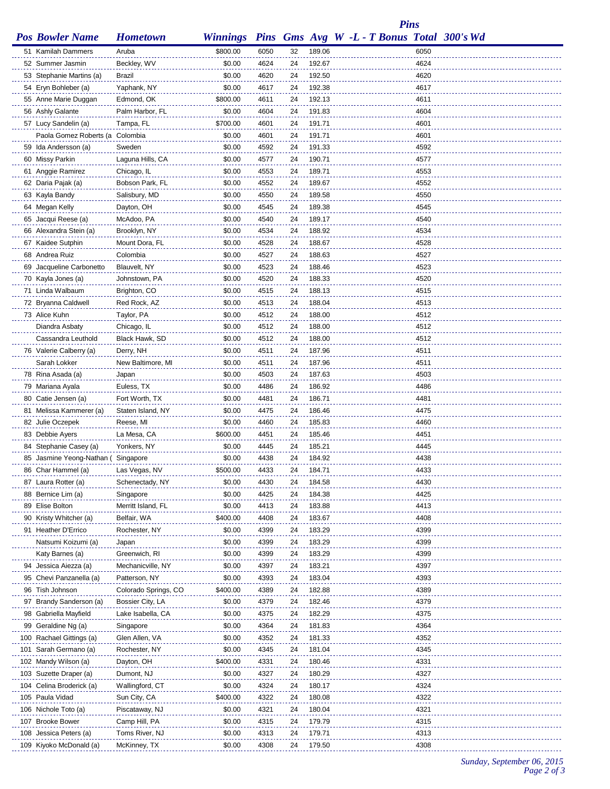*Pins*

| <b>Pos Bowler Name</b>              | <b>Hometown</b>          |                  |              |          |                  | Winnings Pins Gms Avg W -L - T Bonus Total 300's Wd |              |  |
|-------------------------------------|--------------------------|------------------|--------------|----------|------------------|-----------------------------------------------------|--------------|--|
| 51 Kamilah Dammers                  | Aruba                    | \$800.00         | 6050         | 32       | 189.06           |                                                     | 6050         |  |
| 52 Summer Jasmin                    | Beckley, WV              | \$0.00           | 4624         | 24       | 192.67           |                                                     | 4624         |  |
| 53 Stephanie Martins (a)            | Brazil                   | \$0.00           | 4620         | 24       | 192.50           |                                                     | 4620         |  |
| 54 Eryn Bohleber (a)                | Yaphank, NY              | \$0.00           | 4617         | 24       | 192.38           |                                                     | 4617         |  |
| 55 Anne Marie Duggan                | Edmond, OK               | \$800.00         | 4611         | 24       | 192.13           |                                                     | 4611         |  |
| 56 Ashly Galante                    | Palm Harbor, FL          | \$0.00           | 4604         | 24       | 191.83           |                                                     | 4604         |  |
| 57 Lucy Sandelin (a)                | Tampa, FL                | \$700.00         | 4601         | 24       | 191.71           |                                                     | 4601         |  |
| Paola Gomez Roberts (a Colombia     |                          | \$0.00           | 4601         | 24       | 191.71           |                                                     | 4601         |  |
| 59 Ida Andersson (a)                | Sweden                   | \$0.00           | 4592         | 24       | 191.33           |                                                     | 4592         |  |
| 60 Missy Parkin                     | Laguna Hills, CA         | \$0.00           | 4577         | 24       | 190.71           |                                                     | 4577         |  |
| 61 Anggie Ramirez                   | Chicago, IL              | \$0.00           | 4553         | 24       | 189.71           |                                                     | 4553         |  |
| 62 Daria Pajak (a)                  | Bobson Park, FL          | \$0.00           | 4552         | 24       | 189.67           |                                                     | 4552         |  |
| 63 Kayla Bandy                      | Salisbury, MD            | \$0.00           | 4550         | 24       | 189.58           |                                                     | 4550         |  |
| 64 Megan Kelly                      | Dayton, OH               | \$0.00           | 4545         | 24       | 189.38           |                                                     | 4545         |  |
| 65 Jacqui Reese (a)                 | McAdoo, PA               | \$0.00           | 4540         | 24       | 189.17           |                                                     | 4540         |  |
| 66 Alexandra Stein (a)              | Brooklyn, NY             | \$0.00           | 4534         | 24       | 188.92           |                                                     | 4534         |  |
| 67 Kaidee Sutphin                   | Mount Dora, FL           | \$0.00           | 4528         | 24       | 188.67           |                                                     | 4528         |  |
| 68 Andrea Ruiz                      | Colombia                 | \$0.00           | 4527         | 24       | 188.63           |                                                     | 4527         |  |
| 69 Jacqueline Carbonetto            | Blauvelt, NY             | \$0.00           | 4523         | 24       | 188.46           |                                                     | 4523         |  |
| 70 Kayla Jones (a)                  | Johnstown, PA            | \$0.00           | 4520         | 24       | 188.33           |                                                     | 4520         |  |
| 71 Linda Walbaum                    | Brighton, CO             | \$0.00           | 4515         | 24       | 188.13           |                                                     | 4515         |  |
| 72 Bryanna Caldwell                 | Red Rock, AZ             | \$0.00           | 4513         | 24       | 188.04           |                                                     | 4513         |  |
| 73 Alice Kuhn                       | Taylor, PA               | \$0.00           | 4512         | 24       | 188.00           |                                                     | 4512         |  |
| Diandra Asbaty                      | Chicago, IL              | \$0.00           | 4512         | 24       | 188.00           |                                                     | 4512         |  |
| Cassandra Leuthold                  | Black Hawk, SD           | \$0.00           | 4512         | 24       | 188.00           |                                                     | 4512         |  |
| 76 Valerie Calberry (a)             | Derry, NH                | \$0.00           | 4511         | 24       | 187.96           |                                                     | 4511         |  |
| Sarah Lokker                        | New Baltimore, MI        | \$0.00           | 4511         | 24       | 187.96           |                                                     | 4511         |  |
| 78 Rina Asada (a)                   | Japan                    | \$0.00           | 4503         | 24       | 187.63           |                                                     | 4503         |  |
| 79 Mariana Ayala                    | Euless, TX               | \$0.00           | 4486         | 24       | 186.92           |                                                     | 4486         |  |
| 80 Catie Jensen (a)                 | Fort Worth, TX           | \$0.00           | 4481         | 24       | 186.71           |                                                     | 4481<br>4475 |  |
| 81 Melissa Kammerer (a)             | Staten Island, NY        | \$0.00<br>\$0.00 | 4475         | 24       | 186.46           |                                                     | 4460         |  |
| 82 Julie Oczepek<br>83 Debbie Ayers | Reese, MI<br>La Mesa, CA | \$600.00         | 4460<br>4451 | 24<br>24 | 185.83<br>185.46 |                                                     | 4451         |  |
| 84 Stephanie Casey (a)              | Yonkers, NY              | \$0.00           | 4445         | 24       | 185.21           |                                                     | 4445         |  |
| 85 Jasmine Yeong-Nathan (Singapore  |                          | \$0.00           | 4438         | 24       | 184.92           |                                                     | 4438         |  |
| 86 Char Hammel (a)                  | Las Vegas, NV            | \$500.00         | 4433         | 24       | 184.71           |                                                     | 4433         |  |
| 87 Laura Rotter (a)                 | Schenectady, NY          | \$0.00           | 4430         | 24       | 184.58           |                                                     | 4430         |  |
| 88 Bernice Lim (a)                  | Singapore                | \$0.00           | 4425         | 24       | 184.38           |                                                     | 4425         |  |
| 89 Elise Bolton                     | Merritt Island, FL       | \$0.00           | 4413         | 24       | 183.88           |                                                     | 4413         |  |
| 90 Kristy Whitcher (a)              | Belfair, WA              | \$400.00         | 4408         | 24       | 183.67           |                                                     | 4408         |  |
| 91 Heather D'Errico                 | Rochester, NY            | \$0.00           | 4399         | 24       | 183.29           |                                                     | 4399         |  |
| Natsumi Koizumi (a)                 | Japan                    | \$0.00           | 4399         | 24       | 183.29           |                                                     | 4399         |  |
| Katy Barnes (a)                     | Greenwich, RI            | \$0.00           | 4399         | 24       | 183.29           |                                                     | 4399         |  |
| 94 Jessica Aiezza (a)               | Mechanicville, NY        | \$0.00           | 4397         | 24       | 183.21           |                                                     | 4397         |  |
| 95 Chevi Panzanella (a)             | Patterson, NY            | \$0.00           | 4393         | 24       | 183.04           |                                                     | 4393         |  |
| 96 Tish Johnson                     | Colorado Springs, CO     | \$400.00         | 4389         | 24       | 182.88           |                                                     | 4389         |  |
| 97 Brandy Sanderson (a)             | Bossier City, LA         | \$0.00           | 4379         | 24       | 182.46           |                                                     | 4379         |  |
| 98 Gabriella Mayfield               | Lake Isabella, CA        | \$0.00           | 4375         | 24       | 182.29           |                                                     | 4375         |  |
| 99 Geraldine Ng (a)                 | Singapore                | \$0.00           | 4364         | 24       | 181.83           |                                                     | 4364         |  |
| 100 Rachael Gittings (a)            | Glen Allen, VA           | \$0.00           | 4352         | 24       | 181.33           |                                                     | 4352         |  |
| 101 Sarah Germano (a)               | Rochester, NY            | \$0.00           | 4345         | 24       | 181.04           |                                                     | 4345         |  |
| 102 Mandy Wilson (a)                | Dayton, OH               | \$400.00         | 4331         | 24       | 180.46           |                                                     | 4331         |  |
| 103 Suzette Draper (a)              | Dumont, NJ               | \$0.00           | 4327         | 24       | 180.29           |                                                     | 4327         |  |
| 104 Celina Broderick (a)            | Wallingford, CT          | \$0.00           | 4324         | 24       | 180.17           |                                                     | 4324         |  |
| 105 Paula Vidad                     | Sun City, CA             | \$400.00         | 4322         | 24       | 180.08           |                                                     | 4322         |  |
| 106 Nichole Toto (a)                | Piscataway, NJ           | \$0.00           | 4321         | 24       | 180.04           |                                                     | 4321         |  |
| 107 Brooke Bower                    | Camp Hill, PA            | \$0.00           | 4315         | 24       | 179.79           |                                                     | 4315         |  |
| 108 Jessica Peters (a)              | Toms River, NJ           | \$0.00           | 4313         | 24       | 179.71           |                                                     | 4313         |  |
| 109 Kiyoko McDonald (a)             | McKinney, TX             | \$0.00           | 4308         | 24       | 179.50           |                                                     | 4308         |  |